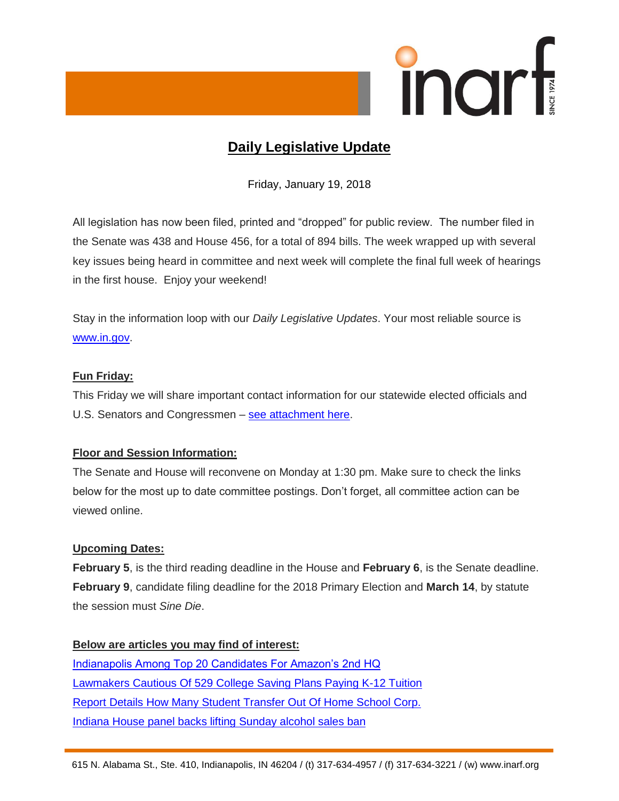

# **Daily Legislative Update**

Friday, January 19, 2018

All legislation has now been filed, printed and "dropped" for public review. The number filed in the Senate was 438 and House 456, for a total of 894 bills. The week wrapped up with several key issues being heard in committee and next week will complete the final full week of hearings in the first house. Enjoy your weekend!

Stay in the information loop with our *Daily Legislative Updates*. Your most reliable source is [www.in.gov.](http://www.in.gov/)

# **Fun Friday:**

This Friday we will share important contact information for our statewide elected officials and U.S. Senators and Congressmen – [see attachment](http://web.inarf.org/External/WCPages/WCWebContent/WebContentPage.aspx?ContentID=3310) here.

# **Floor and Session Information:**

The Senate and House will reconvene on Monday at 1:30 pm. Make sure to check the links below for the most up to date committee postings. Don't forget, all committee action can be viewed online.

# **Upcoming Dates:**

**February 5**, is the third reading deadline in the House and **February 6**, is the Senate deadline. **February 9**, candidate filing deadline for the 2018 Primary Election and **March 14**, by statute the session must *Sine Die*.

**Below are articles you may find of interest:** [Indianapolis Among Top 20 Candidates For Amazon's 2nd HQ](http://indianapublicmedia.org/news/indianapolis-top-20-candidates-amazons-2nd-hq-138100/) [Lawmakers Cautious Of 529 College Saving Plans Paying K-12 Tuition](http://indianapublicmedia.org/stateimpact/2018/01/17/lawmakers-cautious-529-college-saving-plans-paying-k12-tuition/) [Report Details How Many Student Transfer Out Of Home School Corp.](http://indianapublicmedia.org/stateimpact/2018/01/17/report-details-student-transfer-home-school-corp/) [Indiana House panel backs lifting Sunday alcohol sales ban](https://www.wthr.com/article/indiana-house-panel-backs-lifting-sunday-alcohol-sales-ban)